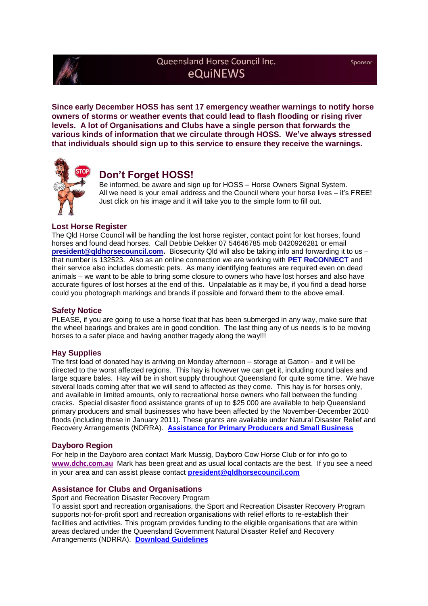

# Queensland Horse Council Inc. eQuiNEWS

**Since early December HOSS has sent 17 emergency weather warnings to notify horse owners of storms or weather events that could lead to flash flooding or rising river levels. A lot of Organisations and Clubs have a single person that forwards the various kinds of information that we circulate through HOSS. We've always stressed that individuals should sign up to this service to ensure they receive the warnings.**



# **Don't Forget HOSS!**

Be informed, be aware and sign up for HOSS – Horse Owners Signal System. All we need is your email address and the Council where your horse lives – it's FREE! Just click on his image and it will take you to the simple form to fill out.

# **Lost Horse Register**

The Qld Horse Council will be handling the lost horse register, contact point for lost horses, found horses and found dead horses. Call Debbie Dekker 07 54646785 mob 0420926281 or email **[president@qldhorsecouncil.com.](mailto:president@qldhorsecouncil.com)** Biosecurity Qld will also be taking info and forwarding it to us – that number is 132523. Also as an online connection we are working with **[PET ReCONNECT](http://qldfloodanimals.weebly.com/)** and their service also includes domestic pets. As many identifying features are required even on dead animals – we want to be able to bring some closure to owners who have lost horses and also have accurate figures of lost horses at the end of this. Unpalatable as it may be, if you find a dead horse could you photograph markings and brands if possible and forward them to the above email.

### **Safety Notice**

PLEASE, if you are going to use a horse float that has been submerged in any way, make sure that the wheel bearings and brakes are in good condition. The last thing any of us needs is to be moving horses to a safer place and having another tragedy along the way!!!

### **Hay Supplies**

The first load of donated hay is arriving on Monday afternoon – storage at Gatton - and it will be directed to the worst affected regions. This hay is however we can get it, including round bales and large square bales. Hay will be in short supply throughout Queensland for quite some time. We have several loads coming after that we will send to affected as they come. This hay is for horses only, and available in limited amounts, only to recreational horse owners who fall between the funding cracks. Special disaster flood assistance grants of up to \$25 000 are available to help Queensland primary producers and small businesses who have been affected by the November-December 2010 floods (including those in January 2011). These grants are available under Natural Disaster Relief and Recovery Arrangements (NDRRA). **[Assistance for Primary Producers and Small Business](http://www.qldhorsecouncil.com/QHC%20Documents/News%20Link%20Storage/Assistance%20for%20primary%20producers%20and%20small%20business.pdf)**

#### **Dayboro Region**

For help in the Dayboro area contact Mark Mussig, Dayboro Cow Horse Club or for info go to **[www.dchc.com.au](http://www.dchc.com.au/)** Mark has been great and as usual local contacts are the best. If you see a need in your area and can assist please contact **[president@qldhorsecouncil.com](mailto:president@qldhorsecouncil.com)**

### **Assistance for Clubs and Organisations**

Sport and Recreation Disaster Recovery Program

To assist sport and recreation organisations, the Sport and Recreation Disaster Recovery Program supports not-for-profit sport and recreation organisations with relief efforts to re-establish their facilities and activities. This program provides funding to the eligible organisations that are within areas declared under the Queensland Government Natural Disaster Relief and Recovery Arrangements (NDRRA). **[Download Guidelines](http://www.qldhorsecouncil.com/QHC%20Documents/News%20Link%20Storage/Att1_Guidelines%20Disaster%20Recovery_2011.pdf)**

Sponsor